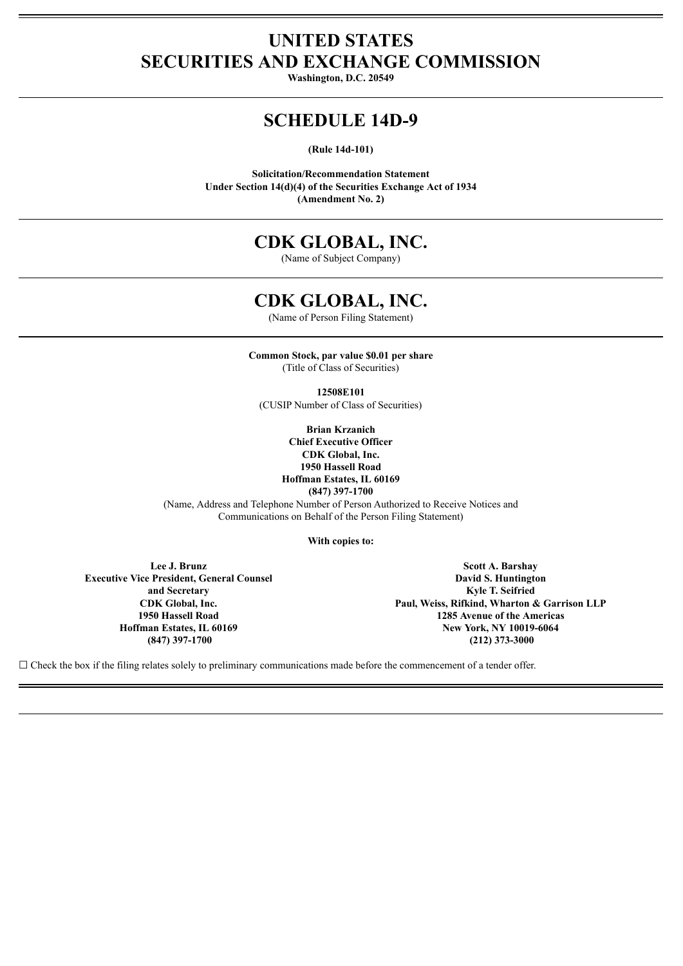# **UNITED STATES SECURITIES AND EXCHANGE COMMISSION**

**Washington, D.C. 20549**

## **SCHEDULE 14D-9**

**(Rule 14d-101)**

**Solicitation/Recommendation Statement Under Section 14(d)(4) of the Securities Exchange Act of 1934 (Amendment No. 2)**

# **CDK GLOBAL, INC.**

(Name of Subject Company)

## **CDK GLOBAL, INC.**

(Name of Person Filing Statement)

**Common Stock, par value \$0.01 per share** (Title of Class of Securities)

**12508E101**

(CUSIP Number of Class of Securities)

**Brian Krzanich Chief Executive Officer CDK Global, Inc. 1950 Hassell Road Hoffman Estates, IL 60169 (847) 397-1700**

(Name, Address and Telephone Number of Person Authorized to Receive Notices and Communications on Behalf of the Person Filing Statement)

**With copies to:**

**Lee J. Brunz Executive Vice President, General Counsel and Secretary CDK Global, Inc. 1950 Hassell Road Hoffman Estates, IL 60169 (847) 397-1700**

**Scott A. Barshay David S. Huntington Kyle T. Seifried Paul, Weiss, Rifkind, Wharton & Garrison LLP 1285 Avenue of the Americas New York, NY 10019-6064 (212) 373-3000**

 $\Box$  Check the box if the filing relates solely to preliminary communications made before the commencement of a tender offer.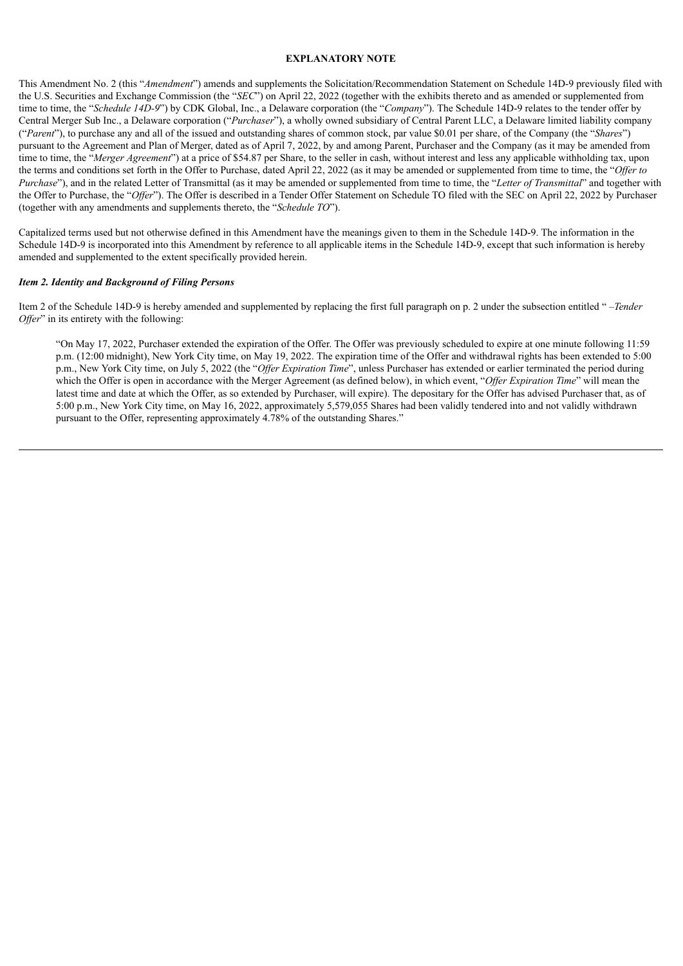#### **EXPLANATORY NOTE**

This Amendment No. 2 (this "*Amendment*") amends and supplements the Solicitation/Recommendation Statement on Schedule 14D-9 previously filed with the U.S. Securities and Exchange Commission (the "*SEC*") on April 22, 2022 (together with the exhibits thereto and as amended or supplemented from time to time, the "*Schedule 14D-9*") by CDK Global, Inc., a Delaware corporation (the "*Company*"). The Schedule 14D-9 relates to the tender offer by Central Merger Sub Inc., a Delaware corporation ("*Purchaser*"), a wholly owned subsidiary of Central Parent LLC, a Delaware limited liability company ("*Parent*"), to purchase any and all of the issued and outstanding shares of common stock, par value \$0.01 per share, of the Company (the "*Shares*") pursuant to the Agreement and Plan of Merger, dated as of April 7, 2022, by and among Parent, Purchaser and the Company (as it may be amended from time to time, the "*Merger Agreement*") at a price of \$54.87 per Share, to the seller in cash, without interest and less any applicable withholding tax, upon the terms and conditions set forth in the Offer to Purchase, dated April 22, 2022 (as it may be amended or supplemented from time to time, the "*Offer to Purchase*"), and in the related Letter of Transmittal (as it may be amended or supplemented from time to time, the "*Letter of Transmittal*" and together with the Offer to Purchase, the "Offer"). The Offer is described in a Tender Offer Statement on Schedule TO filed with the SEC on April 22, 2022 by Purchaser (together with any amendments and supplements thereto, the "*Schedule TO*").

Capitalized terms used but not otherwise defined in this Amendment have the meanings given to them in the Schedule 14D-9. The information in the Schedule 14D-9 is incorporated into this Amendment by reference to all applicable items in the Schedule 14D-9, except that such information is hereby amended and supplemented to the extent specifically provided herein.

#### *Item 2. Identity and Background of Filing Persons*

Item 2 of the Schedule 14D-9 is hereby amended and supplemented by replacing the first full paragraph on p. 2 under the subsection entitled " –*Tender Offer*" in its entirety with the following:

"On May 17, 2022, Purchaser extended the expiration of the Offer. The Offer was previously scheduled to expire at one minute following 11:59 p.m. (12:00 midnight), New York City time, on May 19, 2022. The expiration time of the Offer and withdrawal rights has been extended to 5:00 p.m., New York City time, on July 5, 2022 (the "*Offer Expiration Time*", unless Purchaser has extended or earlier terminated the period during which the Offer is open in accordance with the Merger Agreement (as defined below), in which event, "Offer Expiration Time" will mean the latest time and date at which the Offer, as so extended by Purchaser, will expire). The depositary for the Offer has advised Purchaser that, as of 5:00 p.m., New York City time, on May 16, 2022, approximately 5,579,055 Shares had been validly tendered into and not validly withdrawn pursuant to the Offer, representing approximately 4.78% of the outstanding Shares."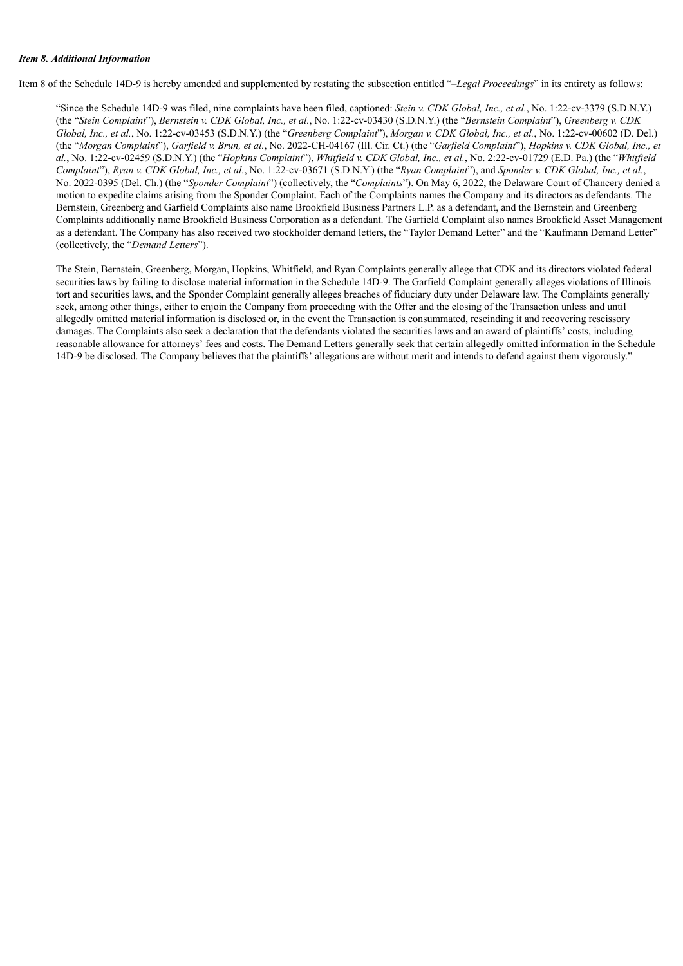#### *Item 8. Additional Information*

Item 8 of the Schedule 14D-9 is hereby amended and supplemented by restating the subsection entitled "–*Legal Proceedings*" in its entirety as follows:

"Since the Schedule 14D-9 was filed, nine complaints have been filed, captioned: *Stein v. CDK Global, Inc., et al.*, No. 1:22-cv-3379 (S.D.N.Y.) (the "Stein Complaint"), Bernstein v. CDK Global, Inc., et al., No. 1:22-cv-03430 (S.D.N.Y.) (the "Bernstein Complaint"), Greenberg v. CDK Global, Inc., et al., No. 1:22-cv-03453 (S.D.N.Y.) (the "Greenberg Complaint"), Morgan v. CDK Global, Inc., et al., No. 1:22-cv-00602 (D. Del.) (the "Morgan Complaint"), Garfield v. Brun, et al., No. 2022-CH-04167 (Ill. Cir. Ct.) (the "Garfield Complaint"), Hopkins v. CDK Global, Inc., et *al.*, No. 1:22-cv-02459 (S.D.N.Y.) (the "*Hopkins Complaint*"), *Whitfield v. CDK Global, Inc., et al.*, No. 2:22-cv-01729 (E.D. Pa.) (the "*Whitfield* Complaint"), Ryan v. CDK Global, Inc., et al., No. 1:22-cv-03671 (S.D.N.Y.) (the "Ryan Complaint"), and Sponder v. CDK Global, Inc., et al., No. 2022-0395 (Del. Ch.) (the "*Sponder Complaint*") (collectively, the "*Complaints*"). On May 6, 2022, the Delaware Court of Chancery denied a motion to expedite claims arising from the Sponder Complaint. Each of the Complaints names the Company and its directors as defendants. The Bernstein, Greenberg and Garfield Complaints also name Brookfield Business Partners L.P. as a defendant, and the Bernstein and Greenberg Complaints additionally name Brookfield Business Corporation as a defendant. The Garfield Complaint also names Brookfield Asset Management as a defendant. The Company has also received two stockholder demand letters, the "Taylor Demand Letter" and the "Kaufmann Demand Letter" (collectively, the "*Demand Letters*").

The Stein, Bernstein, Greenberg, Morgan, Hopkins, Whitfield, and Ryan Complaints generally allege that CDK and its directors violated federal securities laws by failing to disclose material information in the Schedule 14D-9. The Garfield Complaint generally alleges violations of Illinois tort and securities laws, and the Sponder Complaint generally alleges breaches of fiduciary duty under Delaware law. The Complaints generally seek, among other things, either to enjoin the Company from proceeding with the Offer and the closing of the Transaction unless and until allegedly omitted material information is disclosed or, in the event the Transaction is consummated, rescinding it and recovering rescissory damages. The Complaints also seek a declaration that the defendants violated the securities laws and an award of plaintiffs' costs, including reasonable allowance for attorneys' fees and costs. The Demand Letters generally seek that certain allegedly omitted information in the Schedule 14D-9 be disclosed. The Company believes that the plaintiffs' allegations are without merit and intends to defend against them vigorously."